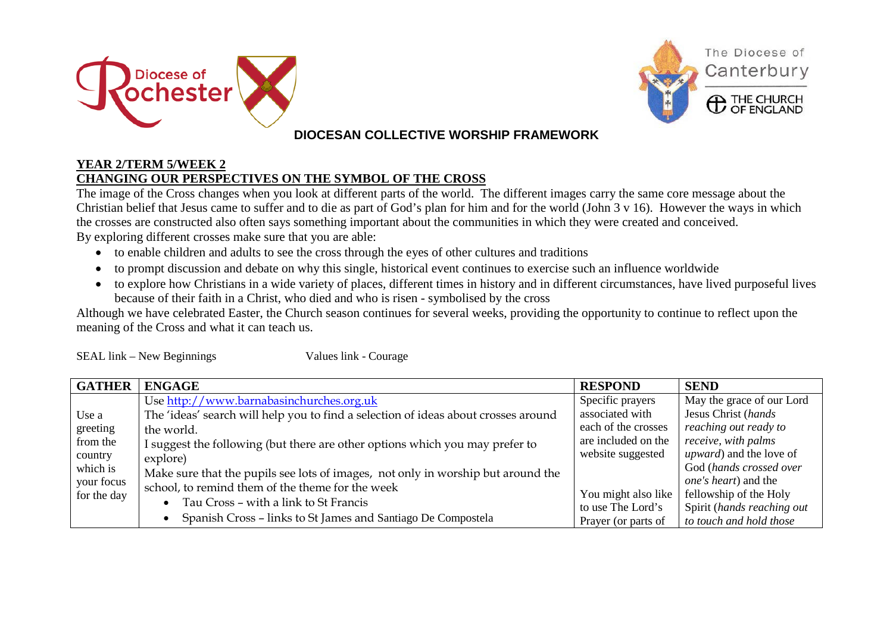



## **DIOCESAN COLLECTIVE WORSHIP FRAMEWORK**

## **YEAR 2/TERM 5/WEEK 2 CHANGING OUR PERSPECTIVES ON THE SYMBOL OF THE CROSS**

The image of the Cross changes when you look at different parts of the world. The different images carry the same core message about the Christian belief that Jesus came to suffer and to die as part of God's plan for him and for the world (John 3 v 16). However the ways in which the crosses are constructed also often says something important about the communities in which they were created and conceived.

By exploring different crosses make sure that you are able:

- to enable children and adults to see the cross through the eyes of other cultures and traditions
- to prompt discussion and debate on why this single, historical event continues to exercise such an influence worldwide
- to explore how Christians in a wide variety of places, different times in history and in different circumstances, have lived purposeful lives because of their faith in a Christ, who died and who is risen - symbolised by the cross

Although we have celebrated Easter, the Church season continues for several weeks, providing the opportunity to continue to reflect upon the meaning of the Cross and what it can teach us.

SEAL link – New Beginnings Values link - Courage

| <b>GATHER</b> | <b>ENGAGE</b>                                                                      | <b>RESPOND</b>      | <b>SEND</b>                     |
|---------------|------------------------------------------------------------------------------------|---------------------|---------------------------------|
|               | Use http://www.barnabasinchurches.org.uk                                           | Specific prayers    | May the grace of our Lord       |
| Use a         | The 'ideas' search will help you to find a selection of ideas about crosses around | associated with     | Jesus Christ (hands             |
| greeting      | the world.                                                                         | each of the crosses | reaching out ready to           |
| from the      | I suggest the following (but there are other options which you may prefer to       | are included on the | receive, with palms             |
| country       | explore)                                                                           | website suggested   | <i>upward</i> ) and the love of |
| which is      | Make sure that the pupils see lots of images, not only in worship but around the   |                     | God (hands crossed over         |
| your focus    | school, to remind them of the theme for the week                                   |                     | <i>one's heart</i> ) and the    |
| for the day   |                                                                                    | You might also like | fellowship of the Holy          |
|               | Tau Cross – with a link to St Francis                                              | to use The Lord's   | Spirit (hands reaching out      |
|               | Spanish Cross - links to St James and Santiago De Compostela                       | Prayer (or parts of | to touch and hold those         |